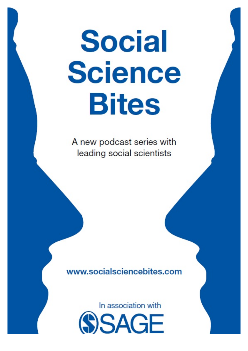# **Social Science Bites**

A new podcast series with leading social scientists

www.socialsciencebites.com

In association with **SSAGE**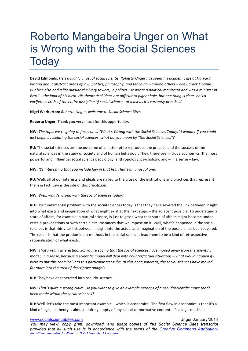## Roberto Mangabeira Unger on What is Wrong with the Social Sciences **Today**

**David Edmonds:** *He's a highly unusual social scientis: Roberto Unger has spent his academic life at Harvard writing about abstract areas of law, politics, philosophy, and teaching – among others – one Barack Obama.* But he's also had a life outside the ivory towers, in politics: He wrote a political manifesto and was a minister in *Brazil* – the land of his birth. His theoretical ideas are difficult to pigeonhole, but one thing is clear: he's a *vociferous critic of the entire discipline of social science - at least as it's currently practised.* 

**Nigel Warburton:** Roberto Unger, welcome to Social Science Bites.

**Roberto Unger:** Thank you very much for this opportunity.

**NW:** The topic we're going to focus on is "What's Wrong with the Social Sciences Today." I wonder if you could just begin by isolating the social sciences; what do you mean by "the Social Sciences"?

**RU:** The social sciences are the outcome of an attempt to reproduce the practice and the success of the natural sciences in the study of society and of human behaviour. They, therefore, include economics (the most powerful and influential social science), sociology, anthropology, psychology, and – in a sense – law.

**NW:** It's interesting that you include law in that list. That's an unusual one.

**RU:** Well, all of our interests and ideals are nailed to the cross of the institutions and practices that represent them in fact. Law is the site of this crucifixion.

#### **NW:** Well, what's wrong with the social sciences today?

**RU:** The fundamental problem with the social sciences today is that they have severed the link between insight into what exists and imagination of what might exist at the next steps – the adjacent possible. To understand a state of affairs, for example in natural science, is just to grasp what that state of affairs might become under certain provocations or with certain circumstances that we impose on it. Well, what's happened in the social sciences is that this vital link between insight into the actual and imagination of the possible has been severed. The result is that the predominant methods in the social sciences lead them to be a kind of retrospective rationalisation of what exists.

**NW:** That's really interesting. So, you're saying that the social sciences have moved away from the scientific *model, in a sense, because a scientific model will deal with counterfactual situations* – what would happen if I were to put this chemical into this particular test-tube, at this heat; whereas, the social sciences have moved far more *into the area of descriptive analysis*.

**RU:** They have degenerated into pseudo-science.

**NW:** *That's* quite a strong claim. Do you want to give an example perhaps of a pseudoscientific move that's *been made within the social sciences?*

**RU:** Well, let's take the most important example – which is economics. The first flaw in economics is that it's a kind of logic; its theory is almost entirely empty of any causal or normative content. It's a logic machine

www.socialsciencebites.com example of the state of the Unger January/2014 *You may view, copy, print, download, and adapt copies of this Social Science Bites transcript provided that all such use is in accordance with the terms of the Creative Commons Attribution-NonCommercial-NoDerivs 3.0 Unported License*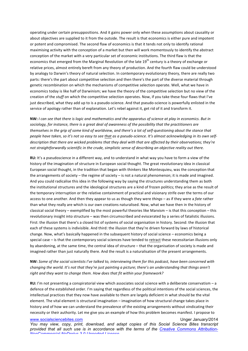operating under certain presuppositions. And it gains power only when these assumptions about causality or about objectives are supplied to it from the outside. The result is that economics is either pure and impotent or potent and compromised. The second flaw of economics is that it tends not only to identify rational maximising activity with the conception of a market but then will work momentously to identify the abstract conception of the market with a very particular set of economic institutions. The third flaw is that the economics that emerged from the Marginal Revolution of the late 19<sup>th</sup> century is a theory of exchange or relative prices, almost entirely bereft from any theory of production. And the fourth flaw could be understood by analogy to Darwin's theory of natural selection. In contemporary evolutionary theory, there are really two parts: there's the part about competitive selection and then there's the part of the diverse material through genetic recombination on which the mechanisms of competitive selection operate. Well, what we have in economics today is like half of Darwinism; we have the theory of the competitive selection but no view of the creation of the *stuff* on which the competitive selection operates. Now, if you take these four flaws that I've just described, what they add up to is a pseudo-science. And that pseudo-science is powerfully enlisted in the service of apology rather than of explanation. Let's rebel against it, get rid of it and transform it.

**NW:** *I* can see that there is logic and mathematics and the apparatus of science at play in economics. But in sociology, for instance, there is a great deal of awareness of the possibility that the practitioners are *themselves* in the grip of some kind of worldview, and there's a lot of self-questioning about the stance that people have taken, so it's not so easy to see that as a pseudo-science. It's almost acknowledging in its own self*description that there are wicked problems that they deal with that are affected by their observations; they're not straightforwardly scientific in the crude, simplistic sense of describing an objective reality out there.* 

**RU:** It's a pseudoscience in a different way, and to understand in what way you have to form a view of the history of the imagination of structure in European social thought. The great revolutionary idea in classical European social thought, in the tradition that began with thinkers like Montesquieu, was the conception that the arrangements of society – the regime of society – is not a natural phenomenon; it is made and imagined. And you could radicalise this idea in the following way by saying the structures understanding them as both the institutional structures and the ideological structures are a kind of frozen politics; they arise as the result of the temporary interruption or the relative containment of practical and visionary strife over the terms of our access to one another. And then they appear to us as though they were *things* – as if they were a *fate* rather than what they really are which is our own creations naturalised. Now, what we have then in the history of classical social theory – exemplified by the most powerful theories like Marxism – is that this conception – this revolutionary insight into structure – was then circumscribed and eviscerated by a series of fatalistic illusions. First: the illusion that there's a closed list of systems of social organisation in history. Second: the illusion that each of these systems is indivisible. And third: the illusion that they're driven forward by laws of historical change. Now, what's basically happened in the subsequent history of social science – economics being a special case – is that the contemporary social sciences have tended to retract these necessitarian illusions only by abandoning, at the same time, the central idea of structure – that the organisation of society is made and imagined rather than just naturally there. And the result is a naturalisation of the present arrangements.

**NW:** Some of the social scientists I've talked to, interviewing them for this podcast, have been concerned with *changing* the world. It's not that they're just painting a picture; there's an understanding that things aren't right and they want to change them. How does that fit within your framework?

**RU:** I'm not presenting a conspiratorial view which associates social science with a deliberate conservatism – a defence of the established order. I'm saying that regardless of the political intentions of the social sciences, the intellectual practices that they now have available to them are largely deficient in what should be the vital element. The vital element is structural imagination – imagination of how structural change takes place in history and of how we can understand the prevalence of the existing arrangements without vindicating their necessity or their authority. Let me give you an example of how this problem becomes manifest. I propose to

#### www.socialsciencebites.com example of the state of the Unger January/2014

*You may view, copy, print, download, and adapt copies of this Social Science Bites transcript provided that all such use is in accordance with the terms of the Creative Commons Attribution-NonCommercial-NoDerivs 3.0 Unported License*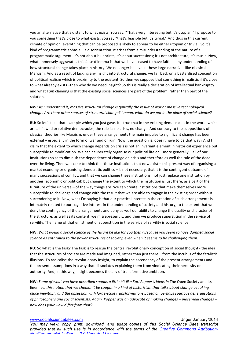you an alternative that's distant to what exists. You say, "That's very interesting but it's utopian." I propose to you something that's close to what exists, you say "that's feasible but it's trivial." And thus in this current climate of opinion, everything that can be proposed is likely to appear to be either utopian or trivial. So it's kind of programmatic aphasia – a disorientation. It arises from a misunderstanding of the nature of a programmatic argument. It's not about blueprints, it's about successions; it's not architecture, it's music. Now, what immensely aggravates this false dilemma is that we have ceased to have faith in any understanding of how structural change takes place in history. We no longer believe in these large narratives like classical Marxism. And as a result of lacking any insight into structural change, we fall back on a bastardised conception of political realism which is proximity to the existent. So then we suppose that something is realistic if it's close to what already exists -then why do we need insight? So this is really a declaration of intellectual bankruptcy and what I *am* claiming is that the existing social sciences are part of the problem, rather than part of the solution.

### **NW**: As *I* understand it, massive structural change is typically the result of war or massive technological *change. Are there other sources of structural change? I* mean, what do we put in the place of social science?

**RU:** So let's take that example which you just gave. It's true that in the existing democracies in the world which are all flawed or relative democracies, the rule is: no crisis, no change. And contrary to the suppositions of classical theories like Marxism, under these arrangements the main impulse to significant change has been external – especially in the form of war and of ruin. Now, the question is: does it have to be that way? And I claim that the extent to which change depends on crisis is not an invariant element in historical experience but susceptible to modification. We can deliberately organise our political life or – more generally – all of our institutions so as to diminish the dependence of change on crisis and therefore as well the rule of the dead over the living. Then we come to think that these institutions that now exist – this present way of organising a market economy or organising democratic politics  $-$  is not necessary, that it is the contingent outcome of many successions of conflict, and that we can change these institutions; not just replace one institution by another (economic or political) but change the extent to which the institution is just there, as a part of the furniture of the universe – of the way things are. We can create institutions that make themselves more susceptible to challenge and change with the result that we are able to engage in the existing order without surrendering to it. Now, what I'm saying is that our practical interest in the creation of such arrangements is intimately related to our cognitive interest in the understanding of society and history, to the extent that we deny the contingency of the arrangements and deny as well our ability to change the quality or character of the structure, as well as its content, we misrepresent it, and then we produce superstition in the service of servility. The name of that enlistment of superstition in the service of servility is social science.

### **NW:** What would a social science of the future be like for you then? Because you seem to have damned social science as enthralled to the power structures of society, even when it seems to be challenging them.

RU: So what is the task? The task is to rescue the central revolutionary conception of social thought - the idea that the structures of society are made and imagined, rather than just there – from the incubus of the fatalistic illusions. To radicalise the revolutionary insight; to explain the ascendency of the present arrangements and the present assumptions in a way that dissociates explaining them from vindicating their necessity or authority. And, in this way, insight becomes the ally of transformative ambition.

**NW:** Some of what you have described sounds a little bit like Karl Popper's ideas in The Open Society and Its Enemies: this notion that we shouldn't be caught in a kind of historicism that talks about change as taking place inevitably and the obsession with large-scale transformations based on perhaps spurious generalisations of philosophers and social scientists. Again, Popper was an advocate of making changes – piecemeal changes – *how does your view differ from that?*

www.socialsciencebites.com example of the state of the Unger January/2014 *You may view, copy, print, download, and adapt copies of this Social Science Bites transcript provided that all such use is in accordance with the terms of the Creative Commons Attribution-NonCommercial-NoDerivs 3.0 Unported License*